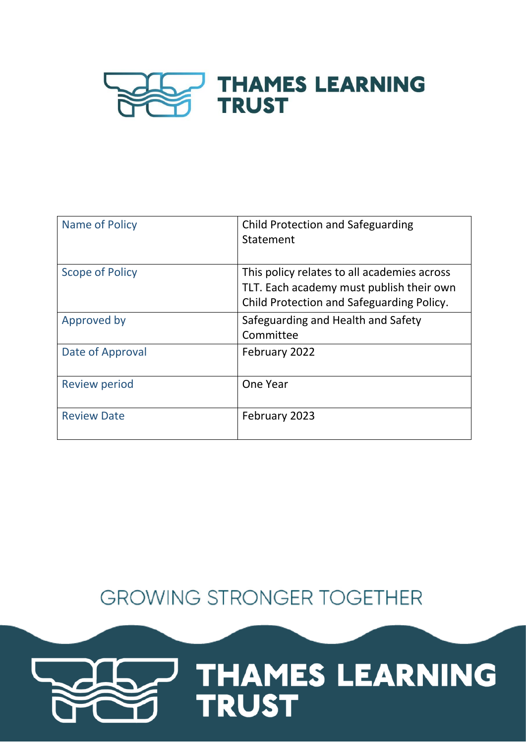

| Name of Policy         | Child Protection and Safeguarding<br>Statement                                                                                       |
|------------------------|--------------------------------------------------------------------------------------------------------------------------------------|
| <b>Scope of Policy</b> | This policy relates to all academies across<br>TLT. Each academy must publish their own<br>Child Protection and Safeguarding Policy. |
| Approved by            | Safeguarding and Health and Safety<br>Committee                                                                                      |
| Date of Approval       | February 2022                                                                                                                        |
| <b>Review period</b>   | One Year                                                                                                                             |
| <b>Review Date</b>     | February 2023                                                                                                                        |

# **GROWING STRONGER TOGETHER**